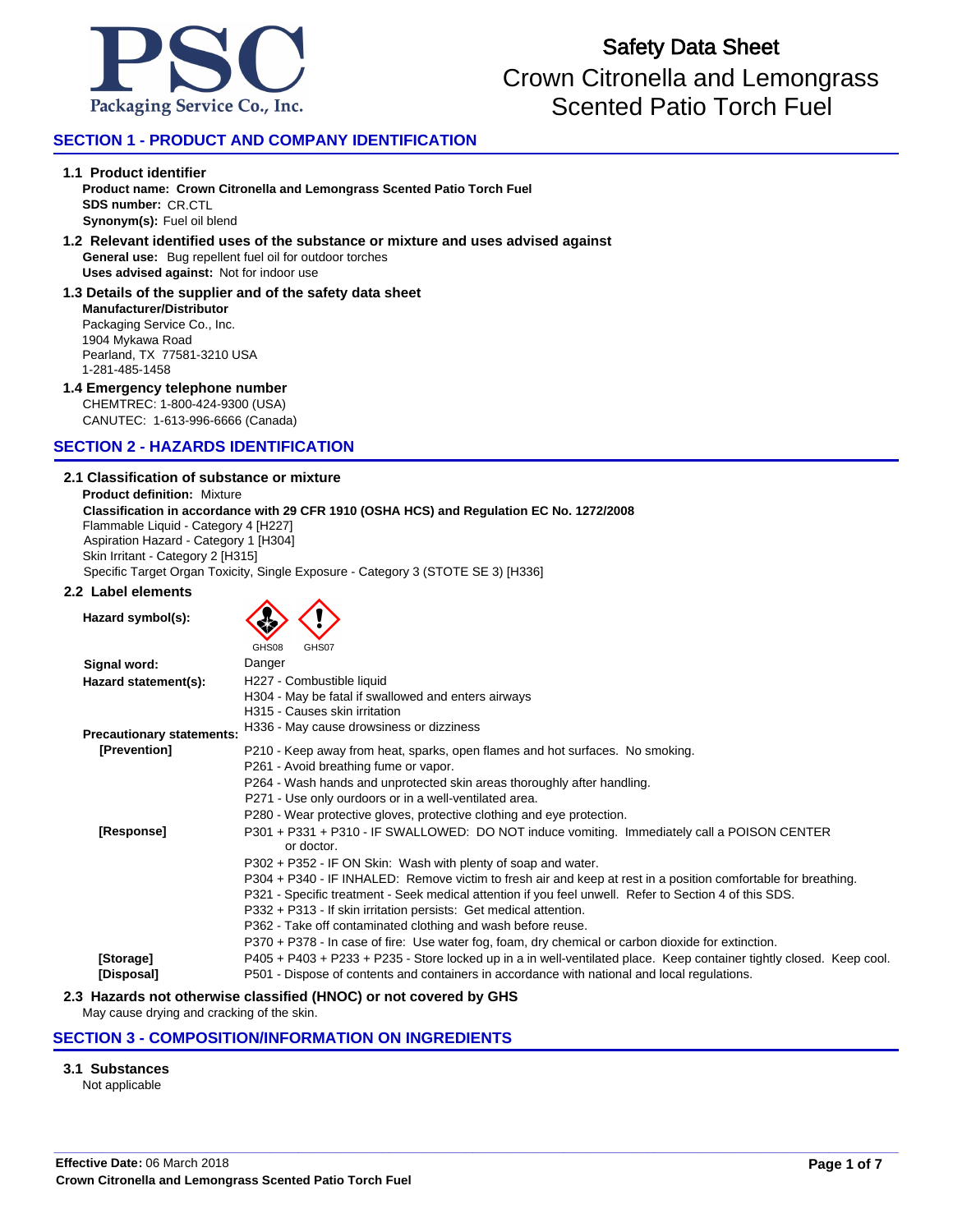

# **SECTION 1 - PRODUCT AND COMPANY IDENTIFICATION**

### **1.1 Product identifier**

**SDS number:** CR.CTL **Synonym(s):** Fuel oil blend **Product name: Crown Citronella and Lemongrass Scented Patio Torch Fuel**

### **General use:** Bug repellent fuel oil for outdoor torches **1.2 Relevant identified uses of the substance or mixture and uses advised against Uses advised against:** Not for indoor use

Packaging Service Co., Inc. **Manufacturer/Distributor 1.3 Details of the supplier and of the safety data sheet**

1904 Mykawa Road Pearland, TX 77581-3210 USA 1-281-485-1458

## **1.4 Emergency telephone number**

CHEMTREC: 1-800-424-9300 (USA) CANUTEC: 1-613-996-6666 (Canada)

# **SECTION 2 - HAZARDS IDENTIFICATION**

### **2.1 Classification of substance or mixture**

**Product definition:** Mixture Flammable Liquid - Category 4 [H227] Aspiration Hazard - Category 1 [H304] **Classification in accordance with 29 CFR 1910 (OSHA HCS) and Regulation EC No. 1272/2008** Skin Irritant - Category 2 [H315] Specific Target Organ Toxicity, Single Exposure - Category 3 (STOTE SE 3) [H336]

## **2.2 Label elements**

| Hazard symbol(s):                |                                                                                                                      |
|----------------------------------|----------------------------------------------------------------------------------------------------------------------|
|                                  | GHS08<br>GHS07                                                                                                       |
| Signal word:                     | Danger                                                                                                               |
| Hazard statement(s):             | H227 - Combustible liquid                                                                                            |
|                                  | H304 - May be fatal if swallowed and enters airways                                                                  |
|                                  | H315 - Causes skin irritation                                                                                        |
|                                  | H336 - May cause drowsiness or dizziness                                                                             |
| <b>Precautionary statements:</b> |                                                                                                                      |
| [Prevention]                     | P210 - Keep away from heat, sparks, open flames and hot surfaces. No smoking.                                        |
|                                  | P261 - Avoid breathing fume or vapor.                                                                                |
|                                  | P264 - Wash hands and unprotected skin areas thoroughly after handling.                                              |
|                                  | P271 - Use only ourdoors or in a well-ventilated area.                                                               |
|                                  | P280 - Wear protective gloves, protective clothing and eye protection.                                               |
| [Response]                       | P301 + P331 + P310 - IF SWALLOWED: DO NOT induce vomiting. Immediately call a POISON CENTER<br>or doctor.            |
|                                  | P302 + P352 - IF ON Skin: Wash with plenty of soap and water.                                                        |
|                                  | P304 + P340 - IF INHALED: Remove victim to fresh air and keep at rest in a position comfortable for breathing.       |
|                                  | P321 - Specific treatment - Seek medical attention if you feel unwell. Refer to Section 4 of this SDS.               |
|                                  | P332 + P313 - If skin irritation persists: Get medical attention.                                                    |
|                                  | P362 - Take off contaminated clothing and wash before reuse.                                                         |
|                                  | P370 + P378 - In case of fire: Use water fog, foam, dry chemical or carbon dioxide for extinction.                   |
|                                  |                                                                                                                      |
| [Storage]                        | P405 + P403 + P233 + P235 - Store locked up in a in well-ventilated place. Keep container tightly closed. Keep cool. |
| [Disposal]                       | P501 - Dispose of contents and containers in accordance with national and local regulations.                         |

**\_\_\_\_\_\_\_\_\_\_\_\_\_\_\_\_\_\_\_\_\_\_\_\_\_\_\_\_\_\_\_\_\_\_\_\_\_\_\_\_\_\_\_\_\_\_\_\_\_\_\_\_\_\_\_\_\_\_\_\_\_\_\_\_\_\_\_\_\_\_\_\_\_\_\_\_\_\_\_\_\_\_\_\_\_\_\_\_\_\_\_\_\_\_\_\_\_\_\_\_\_\_\_\_\_\_\_\_\_\_\_\_\_\_\_\_\_\_\_\_\_**

### **2.3 Hazards not otherwise classified (HNOC) or not covered by GHS**

May cause drying and cracking of the skin.

## **SECTION 3 - COMPOSITION/INFORMATION ON INGREDIENTS**

## **3.1 Substances**

Not applicable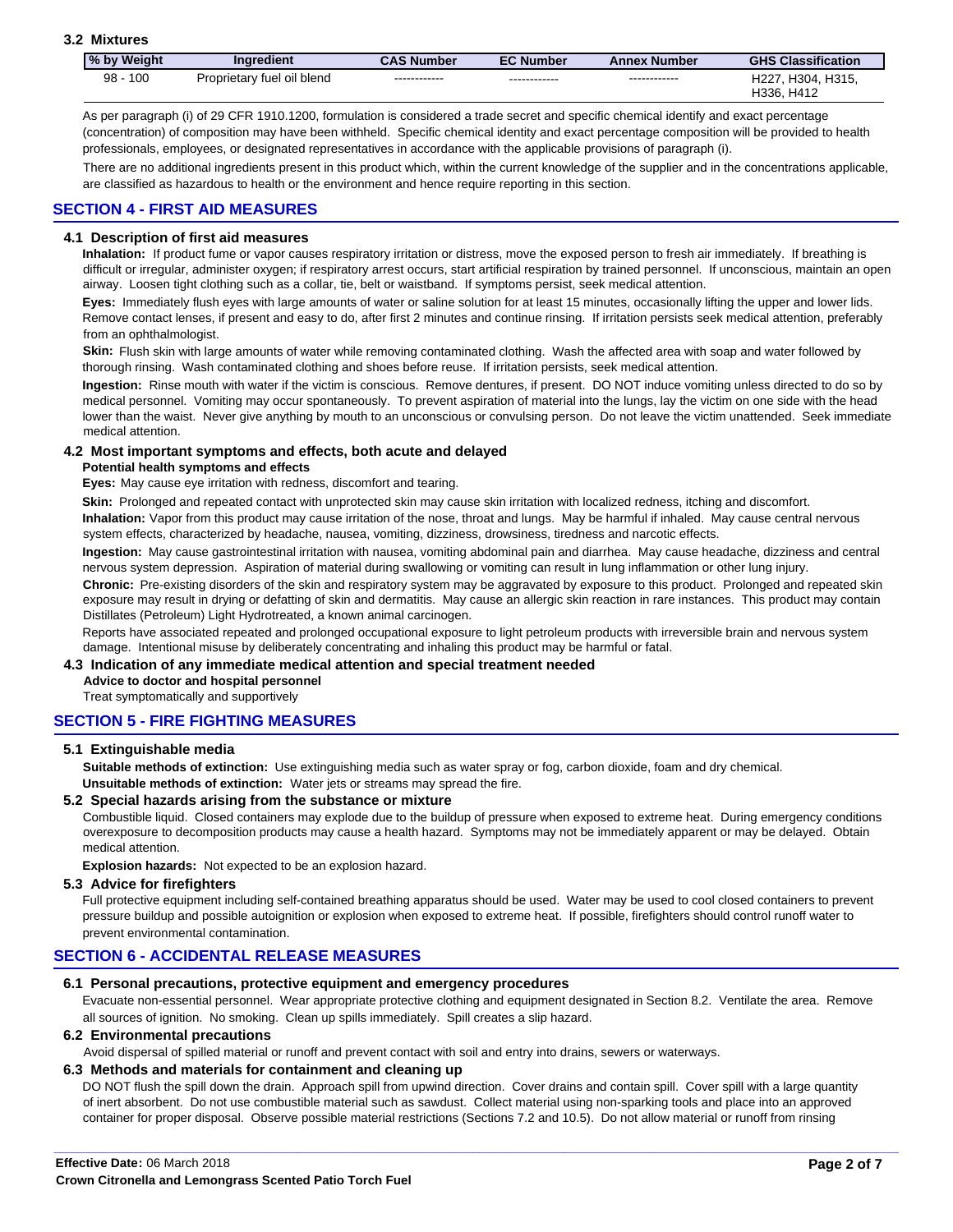## **3.2 Mixtures**

| I% by Weight | <b>Inaredient</b>          | <b>CAS Number</b> | <b>EC Number</b> | <b>Annex Number</b> | <b>GHS Classification</b> |
|--------------|----------------------------|-------------------|------------------|---------------------|---------------------------|
| 100<br>98    | Proprietary fuel oil blend | ------------      | ------------     | ------------        | H227, H304, H315,         |
|              |                            |                   |                  |                     | H336, H412                |

As per paragraph (i) of 29 CFR 1910.1200, formulation is considered a trade secret and specific chemical identify and exact percentage (concentration) of composition may have been withheld. Specific chemical identity and exact percentage composition will be provided to health professionals, employees, or designated representatives in accordance with the applicable provisions of paragraph (i).

There are no additional ingredients present in this product which, within the current knowledge of the supplier and in the concentrations applicable, are classified as hazardous to health or the environment and hence require reporting in this section.

## **SECTION 4 - FIRST AID MEASURES**

### **4.1 Description of first aid measures**

difficult or irregular, administer oxygen; if respiratory arrest occurs, start artificial respiration by trained personnel. If unconscious, maintain an open **Inhalation:** If product fume or vapor causes respiratory irritation or distress, move the exposed person to fresh air immediately. If breathing is airway. Loosen tight clothing such as a collar, tie, belt or waistband. If symptoms persist, seek medical attention.

from an ophthalmologist. **Eyes:** Immediately flush eyes with large amounts of water or saline solution for at least 15 minutes, occasionally lifting the upper and lower lids. Remove contact lenses, if present and easy to do, after first 2 minutes and continue rinsing. If irritation persists seek medical attention, preferably

Skin: Flush skin with large amounts of water while removing contaminated clothing. Wash the affected area with soap and water followed by thorough rinsing. Wash contaminated clothing and shoes before reuse. If irritation persists, seek medical attention.

medical personnel. Vomiting may occur spontaneously. To prevent aspiration of material into the lungs, lay the victim on one side with the head lower than the waist. Never give anything by mouth to an unconscious or convulsing person. Do not leave the victim unattended. Seek immediate medical attention. **Ingestion:** Rinse mouth with water if the victim is conscious. Remove dentures, if present. DO NOT induce vomiting unless directed to do so by

### **4.2 Most important symptoms and effects, both acute and delayed**

#### **Potential health symptoms and effects**

**Eyes:** May cause eye irritation with redness, discomfort and tearing.

Skin: Prolonged and repeated contact with unprotected skin may cause skin irritation with localized redness, itching and discomfort.

**Inhalation:** Vapor from this product may cause irritation of the nose, throat and lungs. May be harmful if inhaled. May cause central nervous system effects, characterized by headache, nausea, vomiting, dizziness, drowsiness, tiredness and narcotic effects.

**Ingestion:** May cause gastrointestinal irritation with nausea, vomiting abdominal pain and diarrhea. May cause headache, dizziness and central nervous system depression. Aspiration of material during swallowing or vomiting can result in lung inflammation or other lung injury.

**Chronic:** Pre-existing disorders of the skin and respiratory system may be aggravated by exposure to this product. Prolonged and repeated skin exposure may result in drying or defatting of skin and dermatitis. May cause an allergic skin reaction in rare instances. This product may contain Distillates (Petroleum) Light Hydrotreated, a known animal carcinogen.

Reports have associated repeated and prolonged occupational exposure to light petroleum products with irreversible brain and nervous system damage. Intentional misuse by deliberately concentrating and inhaling this product may be harmful or fatal.

### **4.3 Indication of any immediate medical attention and special treatment needed**

**Advice to doctor and hospital personnel**

Treat symptomatically and supportively

# **SECTION 5 - FIRE FIGHTING MEASURES**

### **5.1 Extinguishable media**

**Suitable methods of extinction:** Use extinguishing media such as water spray or fog, carbon dioxide, foam and dry chemical. **Unsuitable methods of extinction:** Water jets or streams may spread the fire.

## **5.2 Special hazards arising from the substance or mixture**

overexposure to decomposition products may cause a health hazard. Symptoms may not be immediately apparent or may be delayed. Obtain Combustible liquid. Closed containers may explode due to the buildup of pressure when exposed to extreme heat. During emergency conditions medical attention.

**Explosion hazards:** Not expected to be an explosion hazard.

### **5.3 Advice for firefighters**

Full protective equipment including self-contained breathing apparatus should be used. Water may be used to cool closed containers to prevent pressure buildup and possible autoignition or explosion when exposed to extreme heat. If possible, firefighters should control runoff water to prevent environmental contamination.

## **SECTION 6 - ACCIDENTAL RELEASE MEASURES**

### **6.1 Personal precautions, protective equipment and emergency procedures**

Evacuate non-essential personnel. Wear appropriate protective clothing and equipment designated in Section 8.2. Ventilate the area. Remove all sources of ignition. No smoking. Clean up spills immediately. Spill creates a slip hazard.

## **6.2 Environmental precautions**

Avoid dispersal of spilled material or runoff and prevent contact with soil and entry into drains, sewers or waterways.

### **6.3 Methods and materials for containment and cleaning up**

DO NOT flush the spill down the drain. Approach spill from upwind direction. Cover drains and contain spill. Cover spill with a large quantity of inert absorbent. Do not use combustible material such as sawdust. Collect material using non-sparking tools and place into an approved container for proper disposal. Observe possible material restrictions (Sections 7.2 and 10.5). Do not allow material or runoff from rinsing

**\_\_\_\_\_\_\_\_\_\_\_\_\_\_\_\_\_\_\_\_\_\_\_\_\_\_\_\_\_\_\_\_\_\_\_\_\_\_\_\_\_\_\_\_\_\_\_\_\_\_\_\_\_\_\_\_\_\_\_\_\_\_\_\_\_\_\_\_\_\_\_\_\_\_\_\_\_\_\_\_\_\_\_\_\_\_\_\_\_\_\_\_\_\_\_\_\_\_\_\_\_\_\_\_\_\_\_\_\_\_\_\_\_\_\_\_\_\_\_\_\_**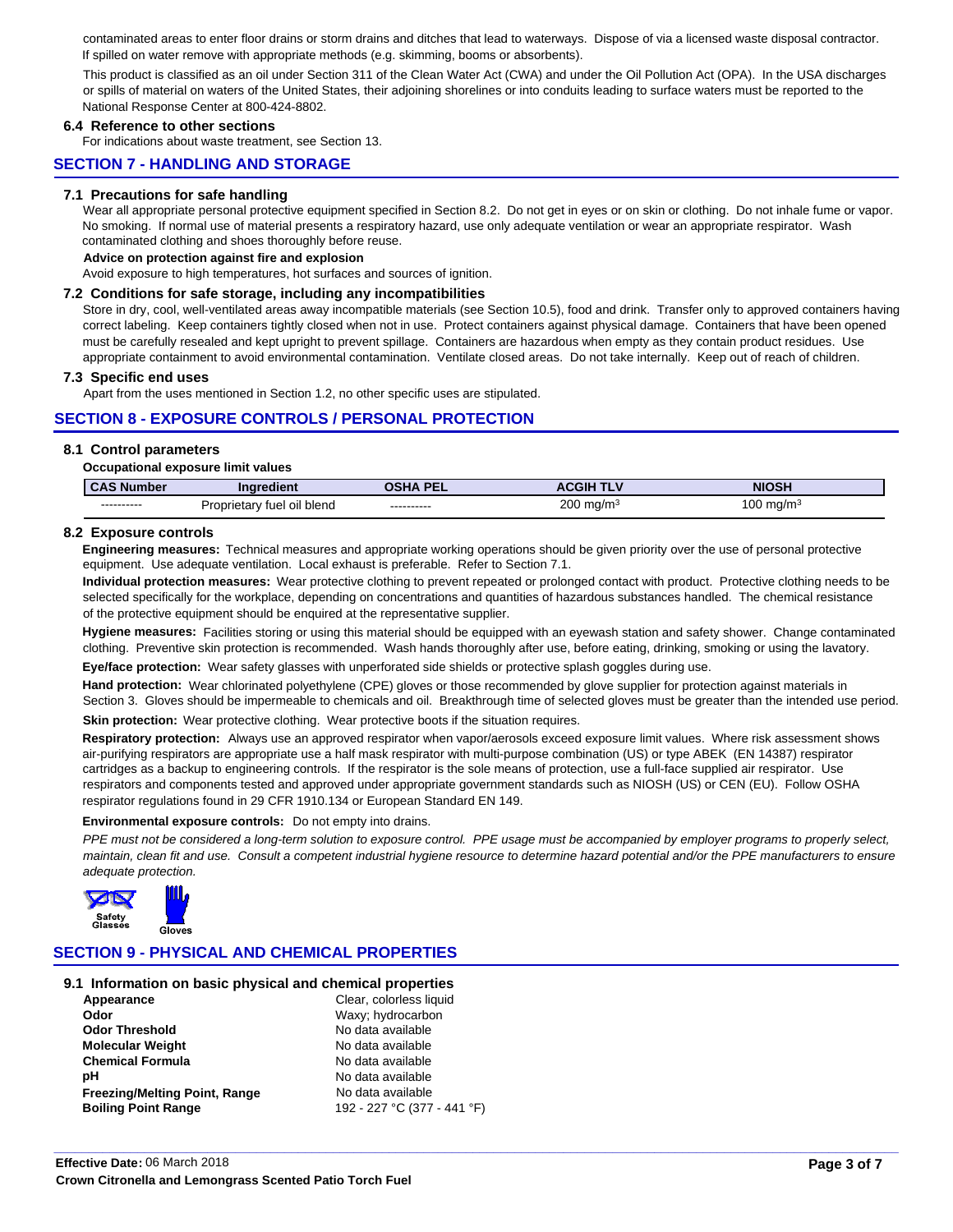contaminated areas to enter floor drains or storm drains and ditches that lead to waterways. Dispose of via a licensed waste disposal contractor. If spilled on water remove with appropriate methods (e.g. skimming, booms or absorbents).

This product is classified as an oil under Section 311 of the Clean Water Act (CWA) and under the Oil Pollution Act (OPA). In the USA discharges or spills of material on waters of the United States, their adjoining shorelines or into conduits leading to surface waters must be reported to the National Response Center at 800-424-8802.

### **6.4 Reference to other sections**

For indications about waste treatment, see Section 13.

## **SECTION 7 - HANDLING AND STORAGE**

### **7.1 Precautions for safe handling**

No smoking. If normal use of material presents a respiratory hazard, use only adequate ventilation or wear an appropriate respirator. Wash contaminated clothing and shoes thoroughly before reuse. Wear all appropriate personal protective equipment specified in Section 8.2. Do not get in eyes or on skin or clothing. Do not inhale fume or vapor.

**Advice on protection against fire and explosion**

Avoid exposure to high temperatures, hot surfaces and sources of ignition.

#### **7.2 Conditions for safe storage, including any incompatibilities**

Store in dry, cool, well-ventilated areas away incompatible materials (see Section 10.5), food and drink. Transfer only to approved containers having must be carefully resealed and kept upright to prevent spillage. Containers are hazardous when empty as they contain product residues. Use appropriate containment to avoid environmental contamination. Ventilate closed areas. Do not take internally. Keep out of reach of children. correct labeling. Keep containers tightly closed when not in use. Protect containers against physical damage. Containers that have been opened

### **7.3 Specific end uses**

Apart from the uses mentioned in Section 1.2, no other specific uses are stipulated.

## **SECTION 8 - EXPOSURE CONTROLS / PERSONAL PROTECTION**

#### **8.1 Control parameters**

#### **Occupational exposure limit values**

| CAS<br>umber              | Ingredient                              | <b>DEI</b><br>135 | . .<br><b>ACGIF</b>                         | NIOSH                           |
|---------------------------|-----------------------------------------|-------------------|---------------------------------------------|---------------------------------|
| -----------<br>---------- | oil blend<br><i>Proprietary</i><br>tuel | -----------       | 200<br>ma/m <sup>3</sup><br>$\cdot$ $\cdot$ | $\sim$<br>.00 ma/m <sup>3</sup> |

### **8.2 Exposure controls**

**Engineering measures:** Technical measures and appropriate working operations should be given priority over the use of personal protective equipment. Use adequate ventilation. Local exhaust is preferable. Refer to Section 7.1.

**Individual protection measures:** Wear protective clothing to prevent repeated or prolonged contact with product. Protective clothing needs to be selected specifically for the workplace, depending on concentrations and quantities of hazardous substances handled. The chemical resistance of the protective equipment should be enquired at the representative supplier.

clothing. Preventive skin protection is recommended. Wash hands thoroughly after use, before eating, drinking, smoking or using the lavatory. **Hygiene measures:** Facilities storing or using this material should be equipped with an eyewash station and safety shower. Change contaminated

**Eye/face protection:** Wear safety glasses with unperforated side shields or protective splash goggles during use.

**Hand protection:** Wear chlorinated polyethylene (CPE) gloves or those recommended by glove supplier for protection against materials in Section 3. Gloves should be impermeable to chemicals and oil. Breakthrough time of selected gloves must be greater than the intended use period. Skin protection: Wear protective clothing. Wear protective boots if the situation requires.

Respiratory protection: Always use an approved respirator when vapor/aerosols exceed exposure limit values. Where risk assessment shows air-purifying respirators are appropriate use a half mask respirator with multi-purpose combination (US) or type ABEK (EN 14387) respirator cartridges as a backup to engineering controls. If the respirator is the sole means of protection, use a full-face supplied air respirator. Use respirators and components tested and approved under appropriate government standards such as NIOSH (US) or CEN (EU). Follow OSHA respirator regulations found in 29 CFR 1910.134 or European Standard EN 149.

### **Environmental exposure controls:** Do not empty into drains.

maintain, clean fit and use. Consult a competent industrial hygiene resource to determine hazard potential and/or the PPE manufacturers to ensure adequate protection. PPE must not be considered a long-term solution to exposure control. PPE usage must be accompanied by employer programs to properly select,

**\_\_\_\_\_\_\_\_\_\_\_\_\_\_\_\_\_\_\_\_\_\_\_\_\_\_\_\_\_\_\_\_\_\_\_\_\_\_\_\_\_\_\_\_\_\_\_\_\_\_\_\_\_\_\_\_\_\_\_\_\_\_\_\_\_\_\_\_\_\_\_\_\_\_\_\_\_\_\_\_\_\_\_\_\_\_\_\_\_\_\_\_\_\_\_\_\_\_\_\_\_\_\_\_\_\_\_\_\_\_\_\_\_\_\_\_\_\_\_\_\_**



## **SECTION 9 - PHYSICAL AND CHEMICAL PROPERTIES**

#### **9.1 Information on basic physical and chemical properties**

| Appearance                           | Clear, colorless liquid |
|--------------------------------------|-------------------------|
| Odor                                 | Waxy; hydrocarbon       |
| <b>Odor Threshold</b>                | No data available       |
| <b>Molecular Weight</b>              | No data available       |
| <b>Chemical Formula</b>              | No data available       |
| pН                                   | No data available       |
| <b>Freezing/Melting Point, Range</b> | No data available       |
| <b>Boiling Point Range</b>           | 192 - 227 °C (377 - 44  |

Waxy: hydrocarbon **No data available Molecular Weight** No data available No data available **No data available Boiling Point Range** 192 - 227 °C (377 - 441 °F) No data available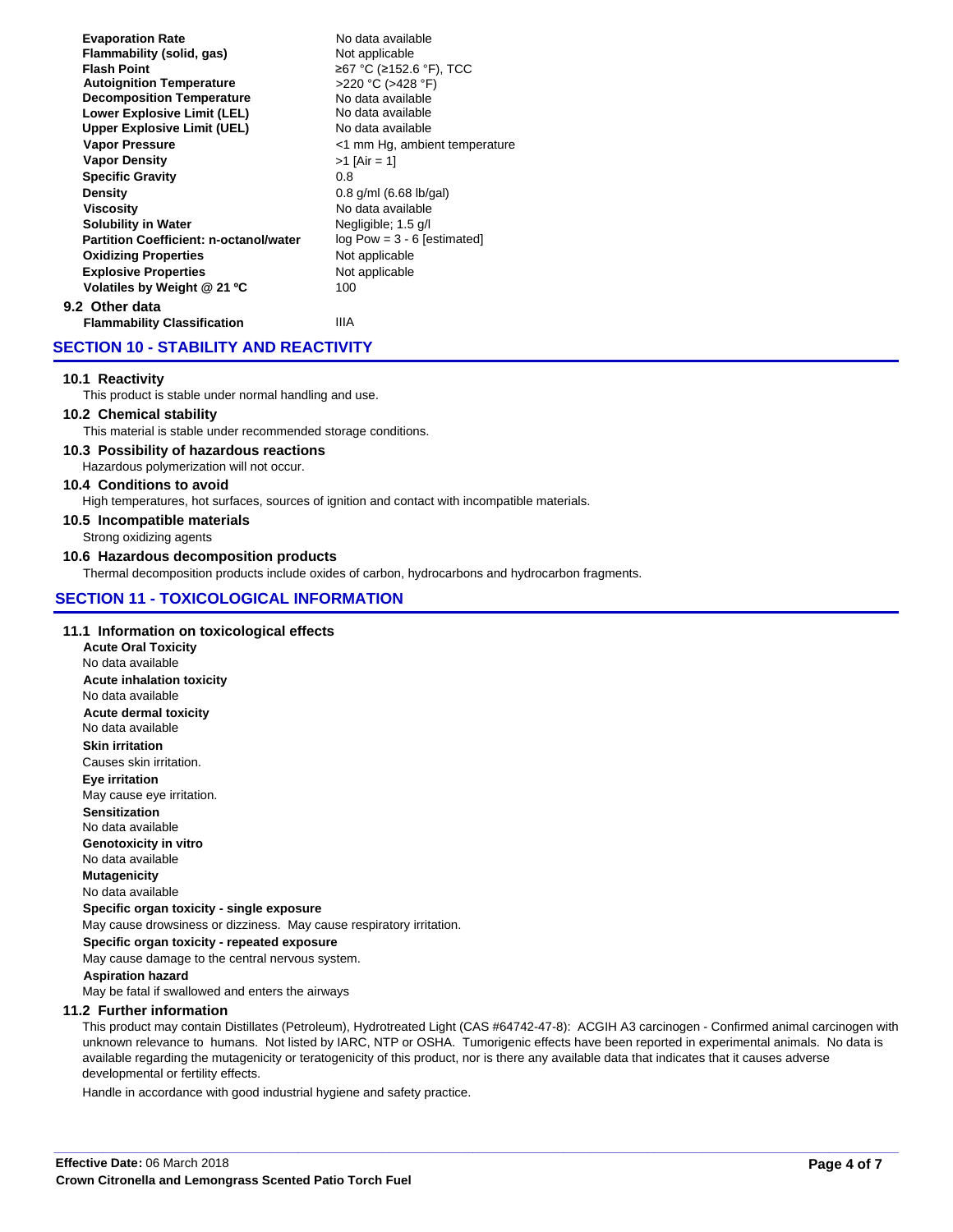| <b>Evaporation Rate</b>                       | No data available             |
|-----------------------------------------------|-------------------------------|
| Flammability (solid, gas)                     | Not applicable                |
| <b>Flash Point</b>                            | ≥67 °C (≥152.6 °F), TCC       |
| <b>Autoignition Temperature</b>               | >220 °C (>428 °F)             |
| <b>Decomposition Temperature</b>              | No data available             |
| <b>Lower Explosive Limit (LEL)</b>            | No data available             |
| <b>Upper Explosive Limit (UEL)</b>            | No data available             |
| <b>Vapor Pressure</b>                         | <1 mm Hg, ambient temperature |
| <b>Vapor Density</b>                          | $>1$ [Air = 1]                |
| <b>Specific Gravity</b>                       | 0.8                           |
| Density                                       | $0.8$ g/ml (6.68 lb/gal)      |
| Viscosity                                     | No data available             |
| <b>Solubility in Water</b>                    | Negligible; 1.5 g/l           |
| <b>Partition Coefficient: n-octanol/water</b> | $log Pow = 3 - 6$ [estimated] |
| <b>Oxidizing Properties</b>                   | Not applicable                |
| <b>Explosive Properties</b>                   | Not applicable                |
| Volatiles by Weight @ 21 °C                   | 100                           |
| 9.2 Other data                                |                               |
| <b>Flammability Classification</b>            | IIIA                          |
|                                               |                               |

## **SECTION 10 - STABILITY AND REACTIVITY**

### **10.1 Reactivity**

This product is stable under normal handling and use.

## **10.2 Chemical stability**

This material is stable under recommended storage conditions.

### **10.3 Possibility of hazardous reactions**

Hazardous polymerization will not occur.

### **10.4 Conditions to avoid**

High temperatures, hot surfaces, sources of ignition and contact with incompatible materials.

## **10.5 Incompatible materials**

Strong oxidizing agents

## **10.6 Hazardous decomposition products**

Thermal decomposition products include oxides of carbon, hydrocarbons and hydrocarbon fragments.

## **SECTION 11 - TOXICOLOGICAL INFORMATION**

### **11.1 Information on toxicological effects**

No data available **Sensitization Genotoxicity in vitro** No data available No data available **Mutagenicity**  May cause drowsiness or dizziness. May cause respiratory irritation. **Specific organ toxicity - single exposure** May cause damage to the central nervous system. **Specific organ toxicity - repeated exposure Eye irritation** May cause eye irritation. **Aspiration hazard Skin irritation** Causes skin irritation. **Acute inhalation toxicity Acute dermal toxicity** No data available No data available **Acute Oral Toxicity** No data available

May be fatal if swallowed and enters the airways

### **11.2 Further information**

available regarding the mutagenicity or teratogenicity of this product, nor is there any available data that indicates that it causes adverse developmental or fertility effects. This product may contain Distillates (Petroleum), Hydrotreated Light (CAS #64742-47-8): ACGIH A3 carcinogen - Confirmed animal carcinogen with unknown relevance to humans. Not listed by IARC, NTP or OSHA. Tumorigenic effects have been reported in experimental animals. No data is

**\_\_\_\_\_\_\_\_\_\_\_\_\_\_\_\_\_\_\_\_\_\_\_\_\_\_\_\_\_\_\_\_\_\_\_\_\_\_\_\_\_\_\_\_\_\_\_\_\_\_\_\_\_\_\_\_\_\_\_\_\_\_\_\_\_\_\_\_\_\_\_\_\_\_\_\_\_\_\_\_\_\_\_\_\_\_\_\_\_\_\_\_\_\_\_\_\_\_\_\_\_\_\_\_\_\_\_\_\_\_\_\_\_\_\_\_\_\_\_\_\_**

Handle in accordance with good industrial hygiene and safety practice.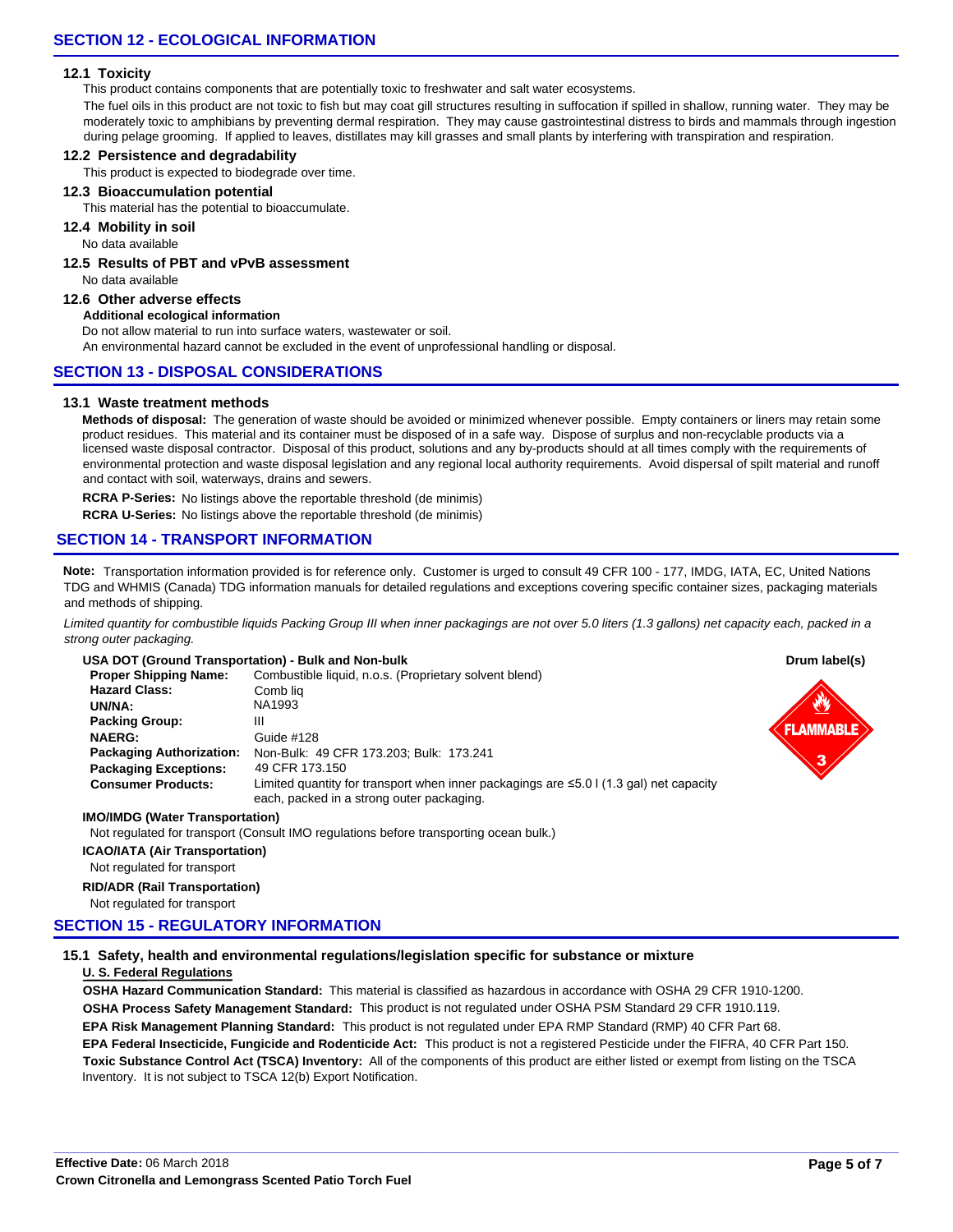### **12.1 Toxicity**

This product contains components that are potentially toxic to freshwater and salt water ecosystems.

The fuel oils in this product are not toxic to fish but may coat gill structures resulting in suffocation if spilled in shallow, running water. They may be moderately toxic to amphibians by preventing dermal respiration. They may cause gastrointestinal distress to birds and mammals through ingestion during pelage grooming. If applied to leaves, distillates may kill grasses and small plants by interfering with transpiration and respiration.

### **12.2 Persistence and degradability**

This product is expected to biodegrade over time.

### **12.3 Bioaccumulation potential**

This material has the potential to bioaccumulate.

### **12.4 Mobility in soil**

No data available

## **12.5 Results of PBT and vPvB assessment**

No data available

## **12.6 Other adverse effects**

## **Additional ecological information**

Do not allow material to run into surface waters, wastewater or soil.

An environmental hazard cannot be excluded in the event of unprofessional handling or disposal.

## **SECTION 13 - DISPOSAL CONSIDERATIONS**

### **13.1 Waste treatment methods**

licensed waste disposal contractor. Disposal of this product, solutions and any by-products should at all times comply with the requirements of environmental protection and waste disposal legislation and any regional local authority requirements. Avoid dispersal of spilt material and runoff and contact with soil, waterways, drains and sewers. Methods of disposal: The generation of waste should be avoided or minimized whenever possible. Empty containers or liners may retain some product residues. This material and its container must be disposed of in a safe way. Dispose of surplus and non-recyclable products via a

**RCRA P-Series:** No listings above the reportable threshold (de minimis)

**RCRA U-Series:** No listings above the reportable threshold (de minimis)

# **SECTION 14 - TRANSPORT INFORMATION**

**Note:** Transportation information provided is for reference only. Customer is urged to consult 49 CFR 100 - 177, IMDG, IATA, EC, United Nations TDG and WHMIS (Canada) TDG information manuals for detailed regulations and exceptions covering specific container sizes, packaging materials and methods of shipping.

Limited quantity for combustible liquids Packing Group III when inner packagings are not over 5.0 liters (1.3 gallons) net capacity each, packed in a strong outer packaging.

## **USA DOT (Ground Transportation) - Bulk and Non-bulk**

| USA DOT (Ground Transportation) - Bulk and Non-bulk | Drum label(s)                                                                                                                             |                  |
|-----------------------------------------------------|-------------------------------------------------------------------------------------------------------------------------------------------|------------------|
| <b>Proper Shipping Name:</b>                        | Combustible liquid, n.o.s. (Proprietary solvent blend)                                                                                    |                  |
| <b>Hazard Class:</b>                                | Comb lia                                                                                                                                  |                  |
| UN/NA:                                              | NA1993                                                                                                                                    |                  |
| <b>Packing Group:</b>                               | Ш                                                                                                                                         | <b>FLAMMABLE</b> |
| <b>NAERG:</b>                                       | Guide #128                                                                                                                                |                  |
| <b>Packaging Authorization:</b>                     | Non-Bulk: 49 CFR 173.203; Bulk: 173.241                                                                                                   | ≏                |
| <b>Packaging Exceptions:</b>                        | 49 CFR 173.150                                                                                                                            |                  |
| <b>Consumer Products:</b>                           | Limited quantity for transport when inner packagings are $\leq 5.0$   (1.3 gal) net capacity<br>each, packed in a strong outer packaging. |                  |
|                                                     |                                                                                                                                           |                  |

### **IMO/IMDG (Water Transportation)**

Not regulated for transport (Consult IMO regulations before transporting ocean bulk.)

### **ICAO/IATA (Air Transportation)**

#### Not regulated for transport

### **RID/ADR (Rail Transportation)**

Not regulated for transport

## **SECTION 15 - REGULATORY INFORMATION**

## **15.1 Safety, health and environmental regulations/legislation specific for substance or mixture**

### **U. S. Federal Regulations**

**OSHA Hazard Communication Standard:** This material is classified as hazardous in accordance with OSHA 29 CFR 1910-1200. **OSHA Process Safety Management Standard:** This product is not regulated under OSHA PSM Standard 29 CFR 1910.119. **EPA Risk Management Planning Standard:** This product is not regulated under EPA RMP Standard (RMP) 40 CFR Part 68. **Toxic Substance Control Act (TSCA) Inventory:** All of the components of this product are either listed or exempt from listing on the TSCA **EPA Federal Insecticide, Fungicide and Rodenticide Act:** This product is not a registered Pesticide under the FIFRA, 40 CFR Part 150. Inventory. It is not subject to TSCA 12(b) Export Notification.

**\_\_\_\_\_\_\_\_\_\_\_\_\_\_\_\_\_\_\_\_\_\_\_\_\_\_\_\_\_\_\_\_\_\_\_\_\_\_\_\_\_\_\_\_\_\_\_\_\_\_\_\_\_\_\_\_\_\_\_\_\_\_\_\_\_\_\_\_\_\_\_\_\_\_\_\_\_\_\_\_\_\_\_\_\_\_\_\_\_\_\_\_\_\_\_\_\_\_\_\_\_\_\_\_\_\_\_\_\_\_\_\_\_\_\_\_\_\_\_\_\_**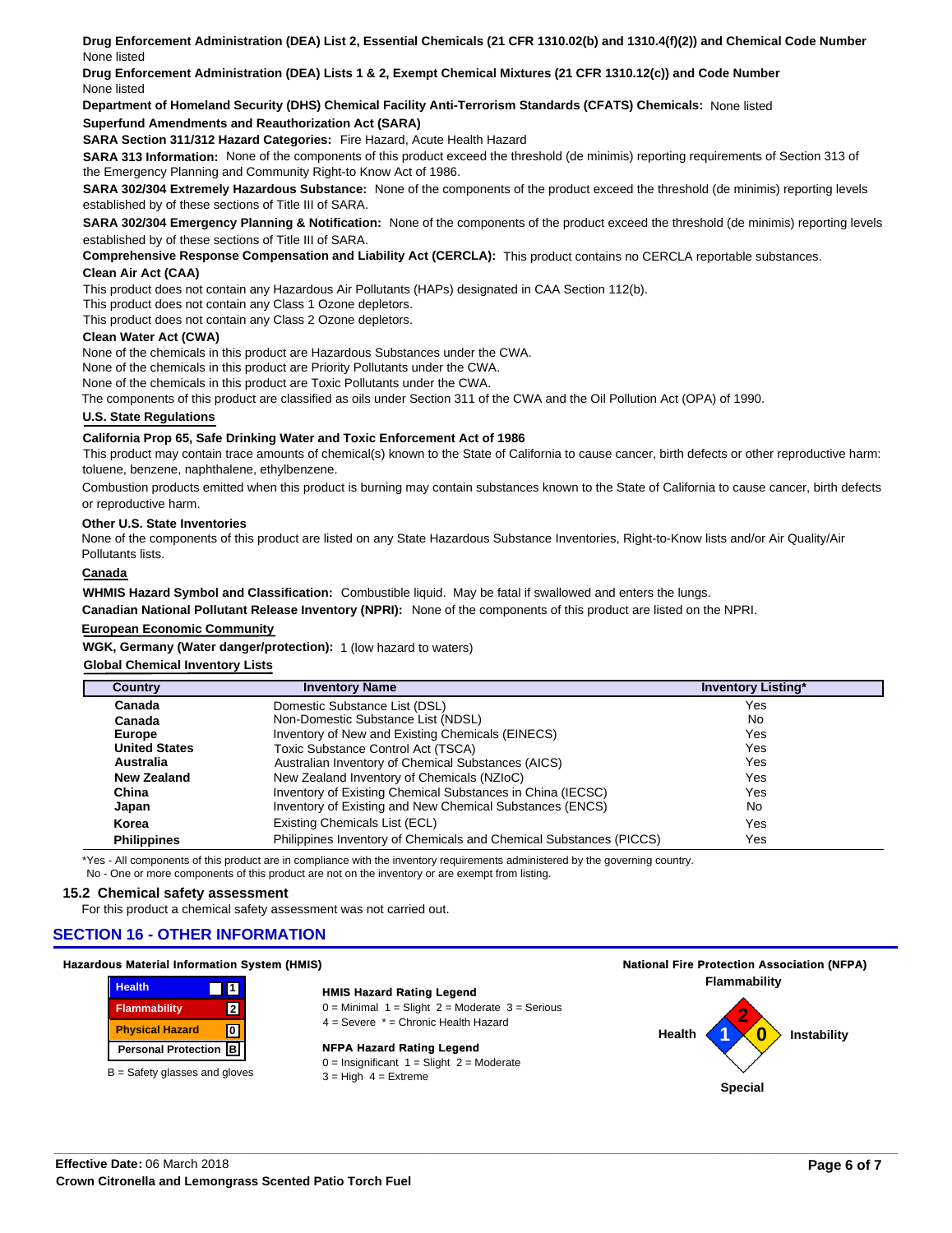**Drug Enforcement Administration (DEA) List 2, Essential Chemicals (21 CFR 1310.02(b) and 1310.4(f)(2)) and Chemical Code Number** None listed

**Drug Enforcement Administration (DEA) Lists 1 & 2, Exempt Chemical Mixtures (21 CFR 1310.12(c)) and Code Number** None listed

**Department of Homeland Security (DHS) Chemical Facility Anti-Terrorism Standards (CFATS) Chemicals:** None listed

### **Superfund Amendments and Reauthorization Act (SARA)**

**SARA Section 311/312 Hazard Categories:** Fire Hazard, Acute Health Hazard

**SARA 313 Information:** None of the components of this product exceed the threshold (de minimis) reporting requirements of Section 313 of the Emergency Planning and Community Right-to Know Act of 1986.

SARA 302/304 Extremely Hazardous Substance: None of the components of the product exceed the threshold (de minimis) reporting levels established by of these sections of Title III of SARA.

SARA 302/304 Emergency Planning & Notification: None of the components of the product exceed the threshold (de minimis) reporting levels established by of these sections of Title III of SARA.

**Comprehensive Response Compensation and Liability Act (CERCLA):** This product contains no CERCLA reportable substances.

### **Clean Air Act (CAA)**

This product does not contain any Hazardous Air Pollutants (HAPs) designated in CAA Section 112(b).

This product does not contain any Class 1 Ozone depletors.

This product does not contain any Class 2 Ozone depletors.

#### **Clean Water Act (CWA)**

None of the chemicals in this product are Hazardous Substances under the CWA.

None of the chemicals in this product are Priority Pollutants under the CWA.

None of the chemicals in this product are Toxic Pollutants under the CWA.

The components of this product are classified as oils under Section 311 of the CWA and the Oil Pollution Act (OPA) of 1990.

### **U.S. State Regulations**

#### **California Prop 65, Safe Drinking Water and Toxic Enforcement Act of 1986**

This product may contain trace amounts of chemical(s) known to the State of California to cause cancer, birth defects or other reproductive harm: toluene, benzene, naphthalene, ethylbenzene.

Combustion products emitted when this product is burning may contain substances known to the State of California to cause cancer, birth defects or reproductive harm.

#### **Other U.S. State Inventories**

None of the components of this product are listed on any State Hazardous Substance Inventories, Right-to-Know lists and/or Air Quality/Air Pollutants lists.

## **Canada**

**WHMIS Hazard Symbol and Classification:** Combustible liquid. May be fatal if swallowed and enters the lungs.

**Canadian National Pollutant Release Inventory (NPRI):** None of the components of this product are listed on the NPRI.

#### **European Economic Community**

**WGK, Germany (Water danger/protection):** 1 (low hazard to waters)

### **Global Chemical Inventory Lists**

| Country              | <b>Inventory Name</b>                                              | <b>Inventory Listing*</b> |
|----------------------|--------------------------------------------------------------------|---------------------------|
| Canada               | Domestic Substance List (DSL)                                      | Yes                       |
| Canada               | Non-Domestic Substance List (NDSL)                                 | <b>No</b>                 |
| <b>Europe</b>        | Inventory of New and Existing Chemicals (EINECS)                   | Yes                       |
| <b>United States</b> | Toxic Substance Control Act (TSCA)                                 | Yes                       |
| Australia            | Australian Inventory of Chemical Substances (AICS)                 | Yes                       |
| New Zealand          | New Zealand Inventory of Chemicals (NZIoC)                         | Yes                       |
| China                | Inventory of Existing Chemical Substances in China (IECSC)         | Yes                       |
| Japan                | Inventory of Existing and New Chemical Substances (ENCS)           | No                        |
| Korea                | Existing Chemicals List (ECL)                                      | Yes                       |
| <b>Philippines</b>   | Philippines Inventory of Chemicals and Chemical Substances (PICCS) | Yes                       |

\*Yes - All components of this product are in compliance with the inventory requirements administered by the governing country. No - One or more components of this product are not on the inventory or are exempt from listing.

### **15.2 Chemical safety assessment**

For this product a chemical safety assessment was not carried out.

### **SECTION 16 - OTHER INFORMATION**

#### **Hazardous Material Information System (HMIS)**

| <b>Health</b>              |           |
|----------------------------|-----------|
| <b>Flammability</b>        | 2         |
| <b>Physical Hazard</b>     |           |
| <b>Personal Protection</b> | $\vert$ B |

 $B =$  Safety glasses and gloves

## **HMIS Hazard Rating Legend**

 $0 =$  Minimal  $1 =$  Slight  $2 =$  Moderate  $3 =$  Serious

4 = Severe \* = Chronic Health Hazard

**\_\_\_\_\_\_\_\_\_\_\_\_\_\_\_\_\_\_\_\_\_\_\_\_\_\_\_\_\_\_\_\_\_\_\_\_\_\_\_\_\_\_\_\_\_\_\_\_\_\_\_\_\_\_\_\_\_\_\_\_\_\_\_\_\_\_\_\_\_\_\_\_\_\_\_\_\_\_\_\_\_\_\_\_\_\_\_\_\_\_\_\_\_\_\_\_\_\_\_\_\_\_\_\_\_\_\_\_\_\_\_\_\_\_\_\_\_\_\_\_\_**

#### **NFPA Hazard Rating Legend**

 $0 =$  Insignificant  $1 =$  Slight  $2 =$  Moderate  $3 =$  High  $4 =$  Extreme